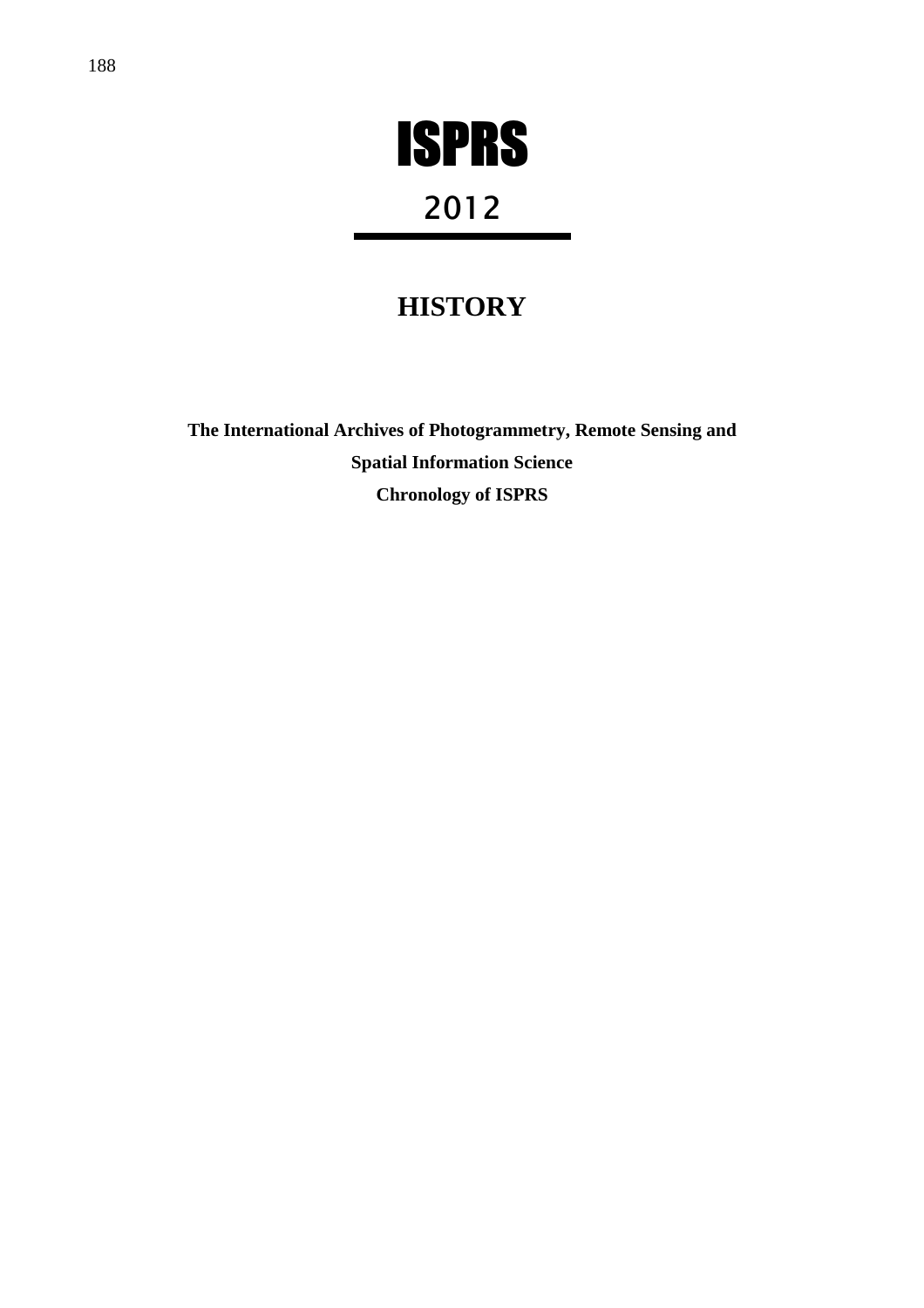

# 2012

# **HISTORY**

**The International Archives of Photogrammetry, Remote Sensing and Spatial Information Science Chronology of ISPRS**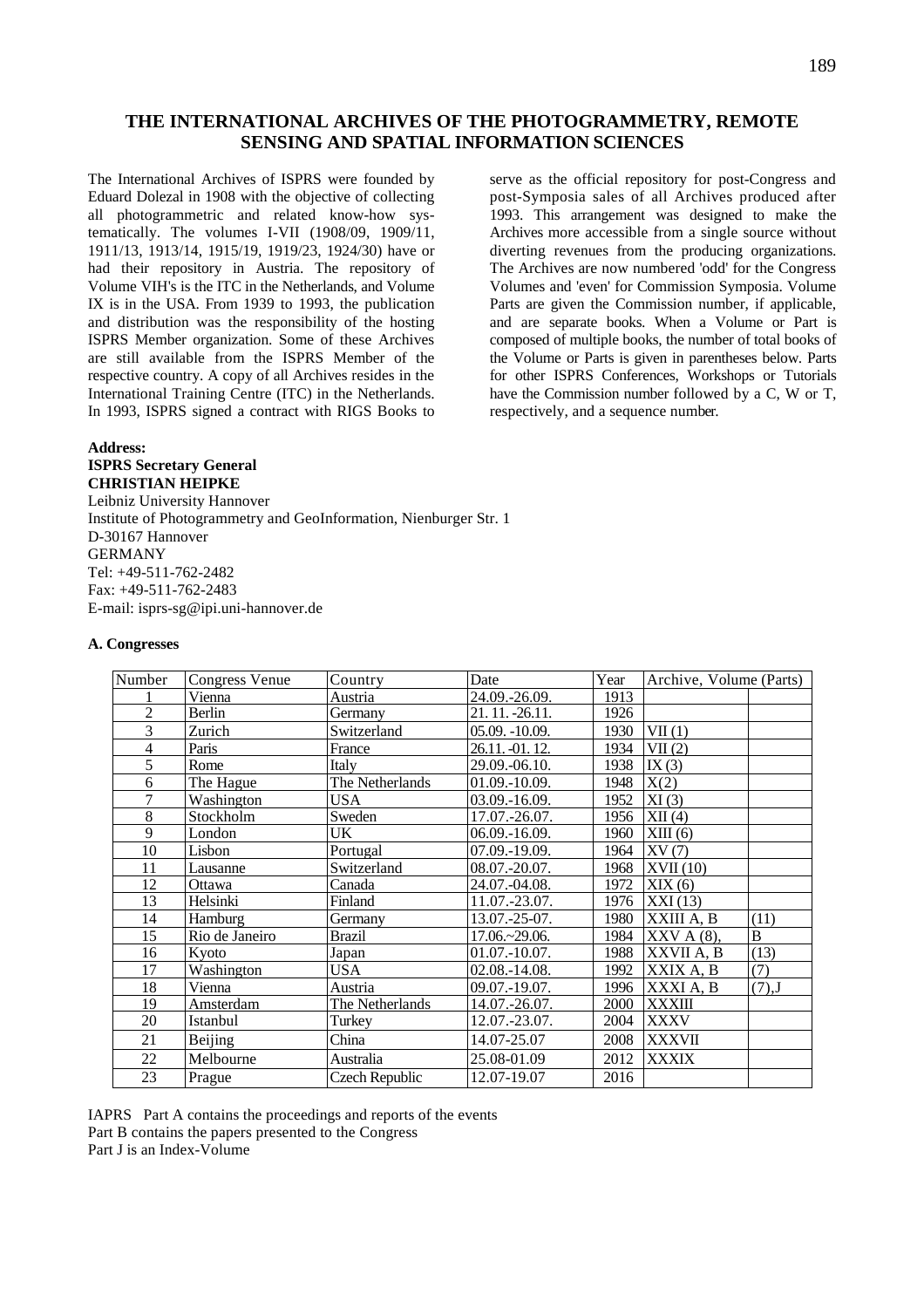# **THE INTERNATIONAL ARCHIVES OF THE PHOTOGRAMMETRY, REMOTE SENSING AND SPATIAL INFORMATION SCIENCES**

The International Archives of ISPRS were founded by Eduard Dolezal in 1908 with the objective of collecting all photogrammetric and related know-how systematically. The volumes I-VII (1908/09, 1909/11, 1911/13, 1913/14, 1915/19, 1919/23, 1924/30) have or had their repository in Austria. The repository of Volume VIH's is the ITC in the Netherlands, and Volume IX is in the USA. From 1939 to 1993, the publication and distribution was the responsibility of the hosting ISPRS Member organization. Some of these Archives are still available from the ISPRS Member of the respective country. A copy of all Archives resides in the International Training Centre (ITC) in the Netherlands. In 1993, ISPRS signed a contract with RIGS Books to serve as the official repository for post-Congress and post-Symposia sales of all Archives produced after 1993. This arrangement was designed to make the Archives more accessible from a single source without diverting revenues from the producing organizations. The Archives are now numbered 'odd' for the Congress Volumes and 'even' for Commission Symposia. Volume Parts are given the Commission number, if applicable, and are separate books. When a Volume or Part is composed of multiple books, the number of total books of the Volume or Parts is given in parentheses below. Parts for other ISPRS Conferences, Workshops or Tutorials have the Commission number followed by a C, W or T, respectively, and a sequence number.

#### **Address: ISPRS Secretary General CHRISTIAN HEIPKE**

Leibniz University Hannover Institute of Photogrammetry and GeoInformation, Nienburger Str. 1 D-30167 Hannover GERMANY Tel: +49-511-762-2482 Fax: +49-511-762-2483 E-mail: isprs-sg@ipi.uni-hannover.de

#### **A. Congresses**

| Number         | <b>Congress Venue</b> | Country         | Date              | Year | Archive, Volume (Parts) |                |
|----------------|-----------------------|-----------------|-------------------|------|-------------------------|----------------|
|                | Vienna                | Austria         | 24.09.-26.09.     | 1913 |                         |                |
| $\overline{c}$ | Berlin                | Germany         | 21.11. -26.11.    | 1926 |                         |                |
| 3              | Zurich                | Switzerland     | $05.09. -10.09.$  | 1930 | VII(1)                  |                |
| 4              | Paris                 | France          | 26.11. -01. 12.   | 1934 | VII(2)                  |                |
| 5              | Rome                  | Italy           | 29.09.-06.10.     | 1938 | IX(3)                   |                |
| 6              | The Hague             | The Netherlands | 01.09.-10.09.     | 1948 | X(2)                    |                |
| 7              | Washington            | <b>USA</b>      | 03.09.-16.09.     | 1952 | XI(3)                   |                |
| 8              | Stockholm             | Sweden          | 17.07.-26.07.     | 1956 | XII(4)                  |                |
| 9              | London                | UK              | 06.09.-16.09.     | 1960 | XIII(6)                 |                |
| 10             | Lisbon                | Portugal        | 07.09.-19.09.     | 1964 | XY(7)                   |                |
| 11             | Lausanne              | Switzerland     | 08.07.-20.07.     | 1968 | XVII(10)                |                |
| 12             | Ottawa                | Canada          | 24.07.-04.08.     | 1972 | XIX(6)                  |                |
| 13             | Helsinki              | Finland         | 11.07.-23.07.     | 1976 | XXI(13)                 |                |
| 14             | Hamburg               | Germany         | 13.07.-25-07.     | 1980 | XXIII A, B              | (11)           |
| 15             | Rio de Janeiro        | <b>Brazil</b>   | $17.06 - 29.06$ . | 1984 | $XXV A(8)$ ,            | $\overline{B}$ |
| 16             | Kyoto                 | Japan           | $01.07 - 10.07$ . | 1988 | XXVII A, B              | (13)           |
| 17             | Washington            | <b>USA</b>      | 02.08.-14.08.     | 1992 | XXIX A, B               | (7)            |
| 18             | Vienna                | Austria         | 09.07.-19.07.     | 1996 | XXXI A, B               | $(7),$ J       |
| 19             | Amsterdam             | The Netherlands | 14.07.-26.07.     | 2000 | <b>XXXIII</b>           |                |
| 20             | Istanbul              | Turkey          | 12.07.-23.07.     | 2004 | <b>XXXV</b>             |                |
| 21             | Beijing               | China           | 14.07-25.07       | 2008 | <b>XXXVII</b>           |                |
| 22             | Melbourne             | Australia       | 25.08-01.09       | 2012 | <b>XXXIX</b>            |                |
| 23             | Prague                | Czech Republic  | 12.07-19.07       | 2016 |                         |                |

IAPRS Part A contains the proceedings and reports of the events Part B contains the papers presented to the Congress Part J is an Index-Volume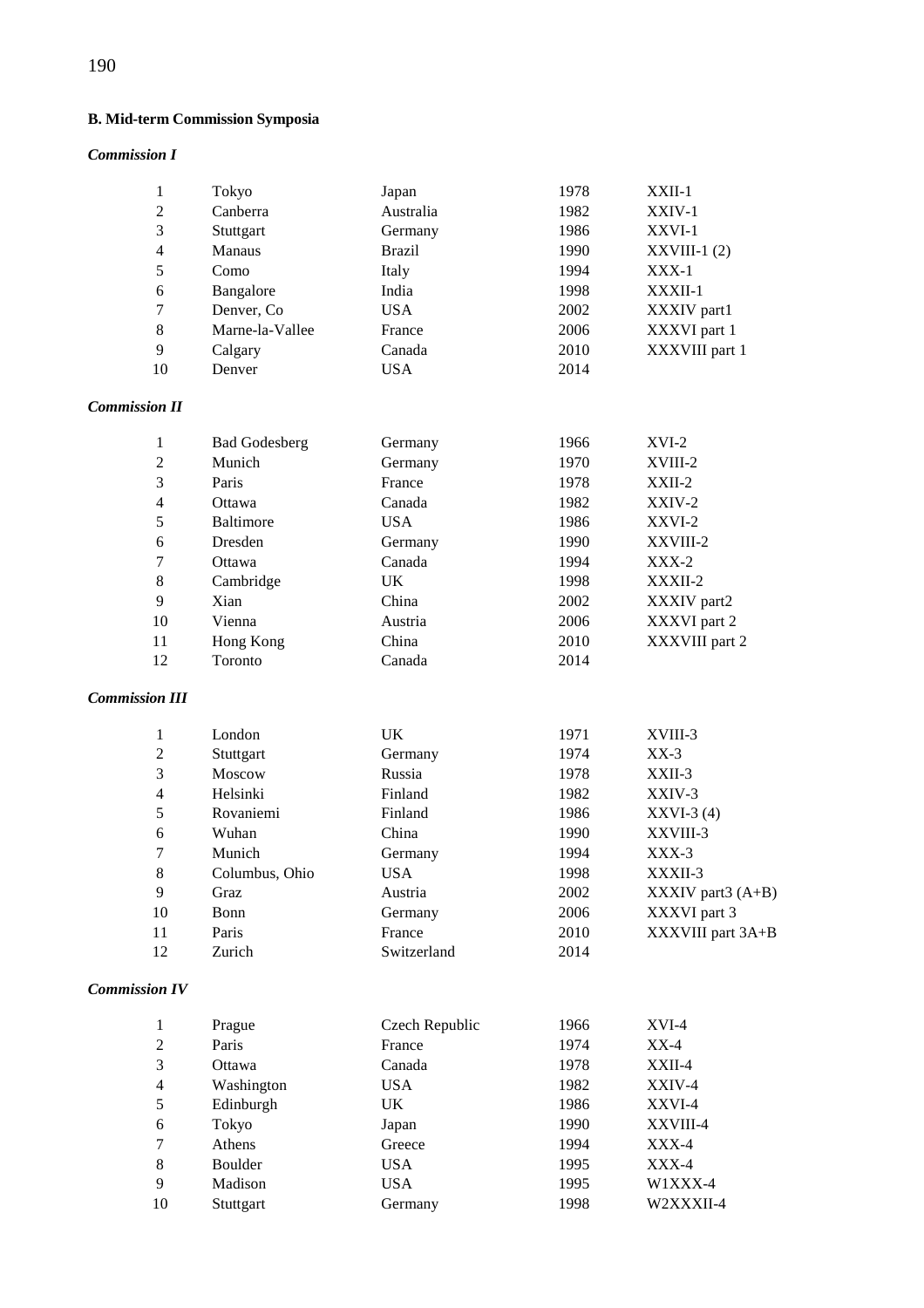# **B. Mid-term Commission Symposia**

# *Commission I*

|    | Tokyo           | Japan         | 1978 | $XXII-1$       |
|----|-----------------|---------------|------|----------------|
| 2  | Canberra        | Australia     | 1982 | $XXIV-1$       |
| 3  | Stuttgart       | Germany       | 1986 | XXVI-1         |
| 4  | <b>Manaus</b>   | <b>Brazil</b> | 1990 | $XXVIII-1(2)$  |
| 5  | Como            | Italy         | 1994 | $XXX-1$        |
| 6  | Bangalore       | India         | 1998 | XXXII-1        |
| 7  | Denver, Co.     | USA           | 2002 | XXXIV part1    |
| 8  | Marne-la-Vallee | France        | 2006 | XXXVI part 1   |
| 9  | Calgary         | Canada        | 2010 | XXXVIII part 1 |
| 10 | Denver          | USA           | 2014 |                |

# *Commission II*

|                | <b>Bad Godesberg</b> | Germany    | 1966 | $XVI-2$        |
|----------------|----------------------|------------|------|----------------|
| 2              | Munich               | Germany    | 1970 | XVIII-2        |
| 3              | Paris                | France     | 1978 | $XXII-2$       |
| $\overline{4}$ | Ottawa               | Canada     | 1982 | $XXIV-2$       |
| 5              | <b>Baltimore</b>     | <b>USA</b> | 1986 | XXVI-2         |
| 6              | Dresden              | Germany    | 1990 | XXVIII-2       |
| 7              | Ottawa               | Canada     | 1994 | $XXX-2$        |
| 8              | Cambridge            | UK         | 1998 | XXXII-2        |
| 9              | Xian                 | China      | 2002 | XXXIV part2    |
| 10             | Vienna               | Austria    | 2006 | XXXVI part 2   |
| 11             | Hong Kong            | China      | 2010 | XXXVIII part 2 |
| 12             | Toronto              | Canada     | 2014 |                |
|                |                      |            |      |                |

# *Commission III*

|    | London         | UK          | 1971 | XVIII-3             |
|----|----------------|-------------|------|---------------------|
| 2  | Stuttgart      | Germany     | 1974 | $XX-3$              |
| 3  | Moscow         | Russia      | 1978 | $XXII-3$            |
| 4  | Helsinki       | Finland     | 1982 | XXIV-3              |
| 5  | Rovaniemi      | Finland     | 1986 | $XXVI-3(4)$         |
| 6  | Wuhan          | China       | 1990 | XXVIII-3            |
| 7  | Munich         | Germany     | 1994 | $XXX-3$             |
| 8  | Columbus, Ohio | USA.        | 1998 | XXXII-3             |
| 9  | Graz           | Austria     | 2002 | XXXIV part $3(A+B)$ |
| 10 | Bonn           | Germany     | 2006 | XXXVI part 3        |
| 11 | Paris          | France      | 2010 | XXXVIII part 3A+B   |
| 12 | Zurich         | Switzerland | 2014 |                     |

# *Commission IV*

|                | Prague     | Czech Republic | 1966 | $XVI-4$   |
|----------------|------------|----------------|------|-----------|
| 2              | Paris      | France         | 1974 | $XX-4$    |
| 3              | Ottawa     | Canada         | 1978 | $XXII-4$  |
| $\overline{4}$ | Washington | USA            | 1982 | XXIV-4    |
| 5              | Edinburgh  | <b>UK</b>      | 1986 | XXVI-4    |
| 6              | Tokyo      | Japan          | 1990 | XXVIII-4  |
| 7              | Athens     | Greece         | 1994 | XXX-4     |
| 8              | Boulder    | USA            | 1995 | XXX-4     |
| 9              | Madison    | <b>USA</b>     | 1995 | W1XXX-4   |
| 10             | Stuttgart  | Germany        | 1998 | W2XXXII-4 |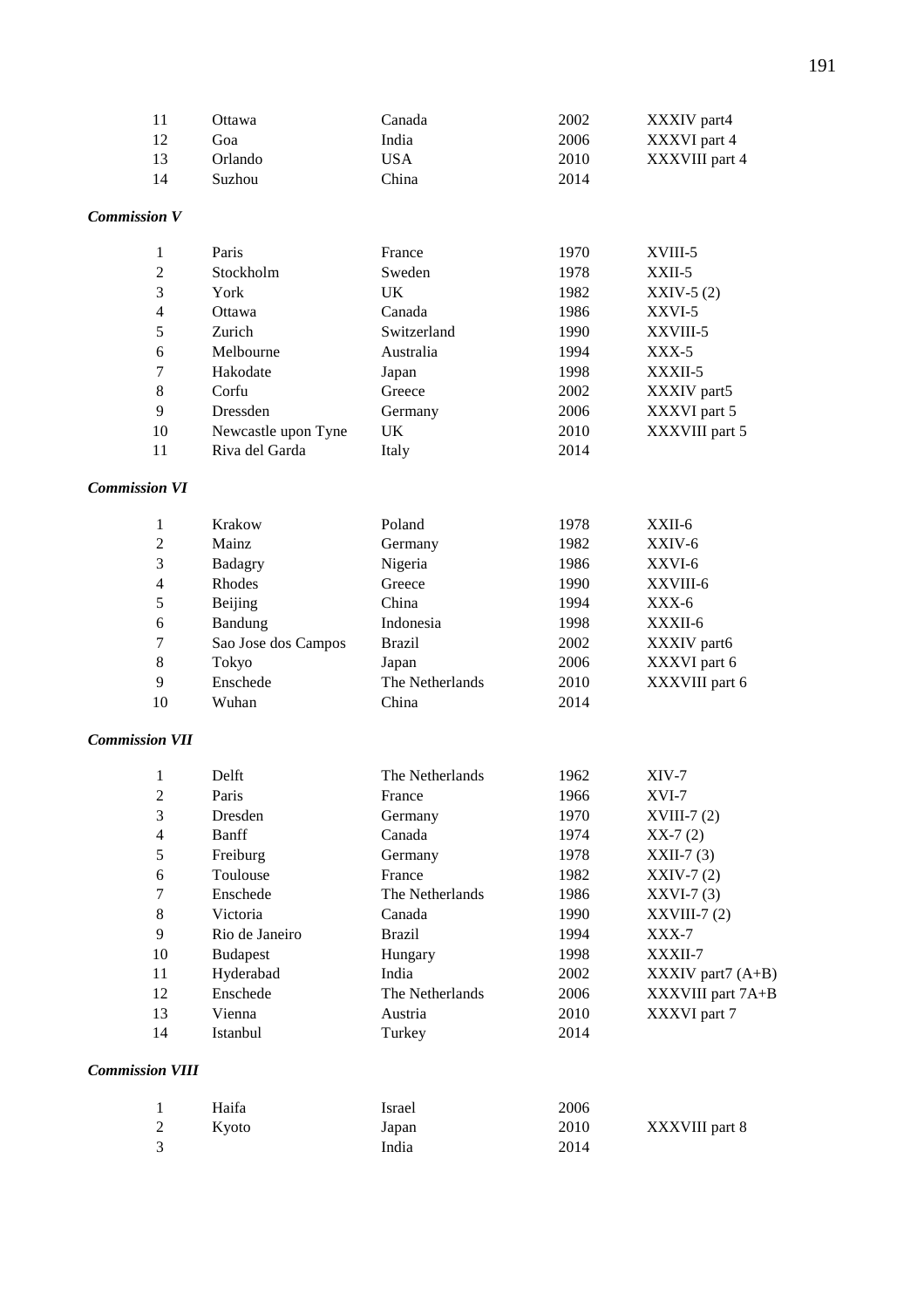| -11 | Ottawa  | Canada | 2002 | XXXIV part4    |
|-----|---------|--------|------|----------------|
| -12 | Goa     | India  | 2006 | XXXVI part 4   |
| -13 | Orlando | USA    | 2010 | XXXVIII part 4 |
| -14 | Suzhou  | China  | 2014 |                |

# *Commission V*

|    | Paris               | France      | 1970 | XVIII-5        |
|----|---------------------|-------------|------|----------------|
| 2  | Stockholm           | Sweden      | 1978 | $XXII-5$       |
| 3  | York                | UK          | 1982 | $XXIV-5(2)$    |
| 4  | Ottawa              | Canada      | 1986 | XXVI-5         |
| 5  | Zurich              | Switzerland | 1990 | XXVIII-5       |
| 6  | Melbourne           | Australia   | 1994 | $XXX-5$        |
| 7  | Hakodate            | Japan       | 1998 | XXXII-5        |
| 8  | Corfu               | Greece      | 2002 | XXXIV part5    |
| 9  | Dressden            | Germany     | 2006 | XXXVI part 5   |
| 10 | Newcastle upon Tyne | UK          | 2010 | XXXVIII part 5 |
| 11 | Riva del Garda      | Italy       | 2014 |                |

# *Commission VI*

|                | Krakow              | Poland          | 1978 | $XXII-6$       |
|----------------|---------------------|-----------------|------|----------------|
| 2              | Mainz               | Germany         | 1982 | XXIV-6         |
| 3              | Badagry             | Nigeria         | 1986 | XXVI-6         |
| $\overline{4}$ | Rhodes              | Greece          | 1990 | XXVIII-6       |
| 5              | Beijing             | China           | 1994 | $XXX-6$        |
| 6              | Bandung             | Indonesia       | 1998 | XXXII-6        |
| 7              | Sao Jose dos Campos | <b>Brazil</b>   | 2002 | XXXIV part6    |
| 8              | Tokyo               | Japan           | 2006 | XXXVI part 6   |
| 9              | Enschede            | The Netherlands | 2010 | XXXVIII part 6 |
| 10             | Wuhan               | China           | 2014 |                |

# *Commission VII*

| 1              | Delft           | The Netherlands | 1962 | $XIV-7$                                                |
|----------------|-----------------|-----------------|------|--------------------------------------------------------|
| 2              | Paris           | France          | 1966 | $XVI-7$                                                |
| 3              | Dresden         | Germany         | 1970 | $XVIII-7(2)$                                           |
| $\overline{4}$ | Banff           | Canada          | 1974 | $XX-7(2)$                                              |
| 5              | Freiburg        | Germany         | 1978 | $XXII-7(3)$                                            |
| 6              | Toulouse        | France          | 1982 | $XXIV-7(2)$                                            |
| 7              | Enschede        | The Netherlands | 1986 | $XXVI-7(3)$                                            |
| 8              | Victoria        | Canada          | 1990 | $XXVIII-7(2)$                                          |
| 9              | Rio de Janeiro  | <b>Brazil</b>   | 1994 | $XXX-7$                                                |
| 10             | <b>Budapest</b> | Hungary         | 1998 | XXXII-7                                                |
| 11             | Hyderabad       | India           | 2002 | $\overline{\text{XXXIV}}$ part $\overline{\text{A+B}}$ |
| 12             | Enschede        | The Netherlands | 2006 | XXXVIII part 7A+B                                      |
| 13             | Vienna          | Austria         | 2010 | XXXVI part 7                                           |
| 14             | Istanbul        | Turkey          | 2014 |                                                        |

# *Commission VIII*

|               | Haifa | Israel | 2006 |                |
|---------------|-------|--------|------|----------------|
| 2             | Kvoto | Japan  | 2010 | XXXVIII part 8 |
| $\mathcal{R}$ |       | India  | 2014 |                |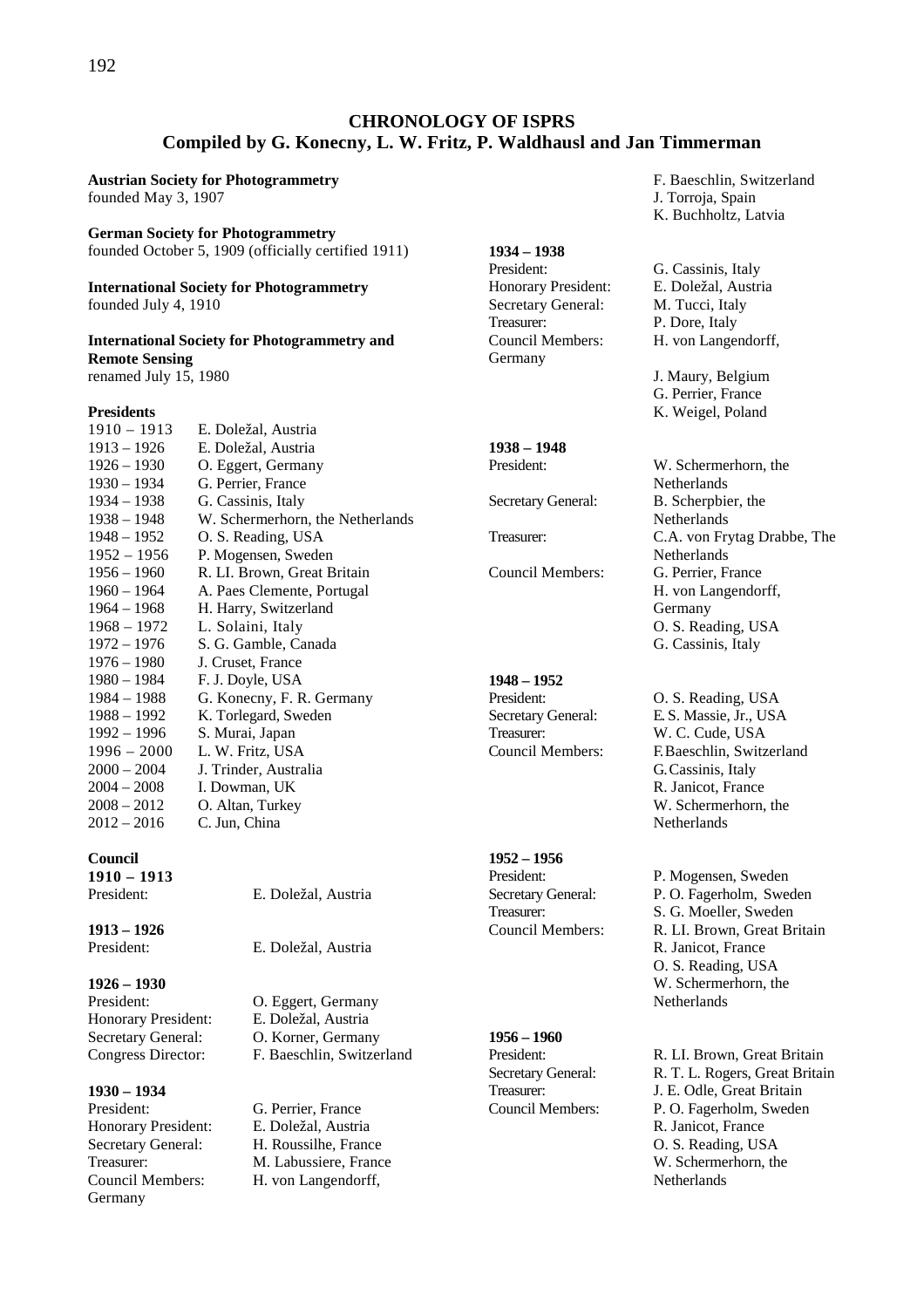# **CHRONOLOGY OF ISPRS Compiled by G. Konecny, L. W. Fritz, P. Waldhausl and Jan Timmerman**

**Austrian Society for Photogrammetry** founded May 3, 1907

#### **German Society for Photogrammetry**

founded October 5, 1909 (officially certified 1911)

**International Society for Photogrammetry** founded July 4, 1910

# **International Society for Photogrammetry and Remote Sensing**

renamed July 15, 1980

#### **Presidents**

| $1910 - 1913$ | E. Doležal, Austria              |
|---------------|----------------------------------|
| 1913 – 1926   | E. Doležal, Austria              |
| 1926 – 1930   | O. Eggert, Germany               |
| 1930 – 1934   | G. Perrier, France               |
| 1934 – 1938   | G. Cassinis, Italy               |
| 1938 – 1948   | W. Schermerhorn, the Netherlands |
| 1948 – 1952   | O. S. Reading, USA               |
| $1952 - 1956$ | P. Mogensen, Sweden              |
| $1956 - 1960$ | R. LI. Brown, Great Britain      |
| 1960 – 1964   | A. Paes Clemente, Portugal       |
| 1964 – 1968   | H. Harry, Switzerland            |
| 1968 – 1972   | L. Solaini, Italy                |
| 1972 – 1976   | S. G. Gamble, Canada             |
| 1976 – 1980   | J. Cruset, France                |
| 1980 – 1984   | F. J. Doyle, USA                 |
| 1984 – 1988   | G. Konecny, F. R. Germany        |
| 1988 – 1992   | K. Torlegard, Sweden             |
| 1992 – 1996   | S. Murai, Japan                  |
| $1996 - 2000$ | L. W. Fritz, USA                 |
| 2000 – 2004   | J. Trinder, Australia            |
| 2004 – 2008   | I. Dowman, UK                    |
| 2008 – 2012   | O. Altan, Turkey                 |
| 2012 – 2016   | C. Jun, China                    |
|               |                                  |

**Council 1910 – 1913** 

**1913 – 1926** 

**1926 – 1930**  President: O. Eggert, Germany Honorary President: E. Doležal, Austria Secretary General: O. Korner, Germany

**1930 – 1934**  President: G. Perrier, France Honorary President: E. Doležal, Austria Secretary General: H. Roussilhe, France Council Members: H. von Langendorff, Germany

E. Doležal, Austria

E. Doležal, Austria

Congress Director: F. Baeschlin, Switzerland

Treasurer: M. Labussiere, France

- **1934 1938**  Honorary President: E. Doležal, Austria Secretary General: M. Tucci, Italy Treasurer: P. Dore, Italy Council Members: H. von Langendorff, Germany
	-

# **1938 – 1948**

# **1948 – 1952**

Treasurer: W. C. Cude, USA

# **1952 – 1956**

# **1956 – 1960**

- F. Baeschlin, Switzerland
- J. Torroja, Spain
- K. Buchholtz, Latvia

G. Cassinis, Italy

 J. Maury, Belgium G. Perrier, France K. Weigel, Poland

President: W. Schermerhorn, the Netherlands Secretary General: B. Scherpbier, the Netherlands Treasurer: C.A. von Frytag Drabbe, The **Netherlands** Council Members: G. Perrier, France H. von Langendorff, Germany O. S. Reading, USA G. Cassinis, Italy

President: O. S. Reading, USA Secretary General: E. S. Massie, Jr., USA Council Members: F. Baeschlin, Switzerland G. Cassinis, Italy R. Janicot, France W. Schermerhorn, the **Netherlands** 

President: P. Mogensen, Sweden Secretary General: P. O. Fagerholm, Sweden<br>Treasurer: S. G. Moeller, Sweden S. G. Moeller, Sweden Council Members: R. LI. Brown, Great Britain R. Janicot, France O. S. Reading, USA W. Schermerhorn, the **Netherlands** 

President: R. LI. Brown, Great Britain Secretary General: R. T. L. Rogers, Great Britain Treasurer: J. E. Odle, Great Britain Council Members: P. O. Fagerholm, Sweden R. Janicot, France O. S. Reading, USA W. Schermerhorn, the **Netherlands**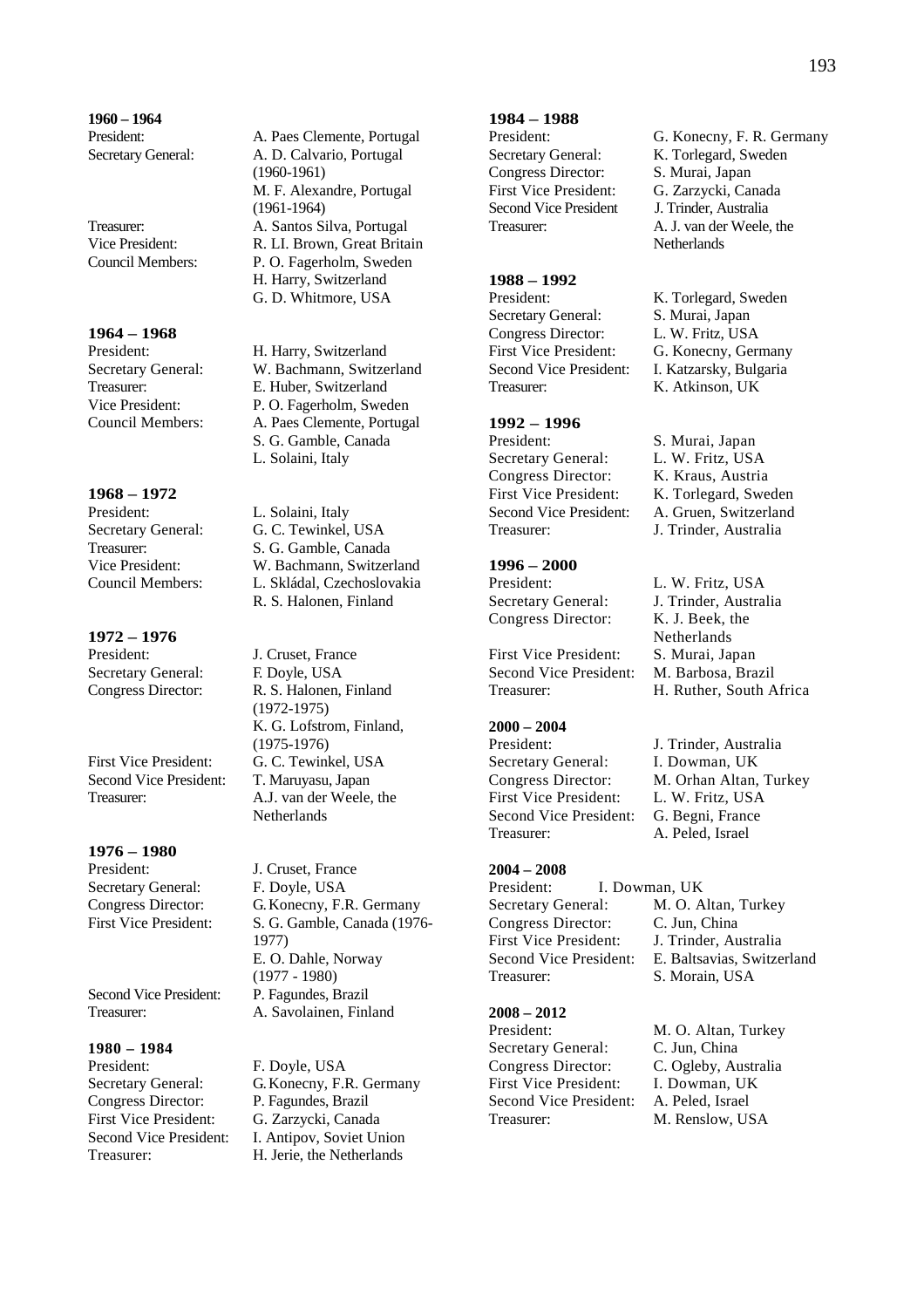**1960 – 1964** 

**1964 – 1968** 

**1968 – 1972**  President: L. Solaini, Italy

**1972 – 1976**  Secretary General: F. Doyle, USA

First Vice President: G. C. Tewinkel, USA Second Vice President: T. Maruyasu, Japan

**1976 – 1980**  President: J. Cruset, France Secretary General: F. Doyle, USA

**1980 – 1984**  Congress Director: P. Fagundes, Brazil First Vice President: G. Zarzycki, Canada

President: A. Paes Clemente, Portugal Secretary General: A. D. Calvario, Portugal (1960-1961) M. F. Alexandre, Portugal (1961-1964) Treasurer: A. Santos Silva, Portugal Vice President: R. LI. Brown, Great Britain Council Members: P. O. Fagerholm, Sweden H. Harry, Switzerland G. D. Whitmore, USA

H. Harry, Switzerland Secretary General: W. Bachmann, Switzerland Treasurer: E. Huber, Switzerland Vice President: P. O. Fagerholm, Sweden Council Members: A. Paes Clemente, Portugal S. G. Gamble, Canada L. Solaini, Italy

Secretary General: G. C. Tewinkel, USA Treasurer: S. G. Gamble, Canada Vice President: W. Bachmann, Switzerland Council Members: L. Skládal, Czechoslovakia R. S. Halonen, Finland

J. Cruset, France Congress Director: R. S. Halonen, Finland (1972-1975) K. G. Lofstrom, Finland, (1975-1976) Treasurer: A.J. van der Weele, the Netherlands

Congress Director: G. Konecny, F.R. Germany First Vice President: S. G. Gamble, Canada (1976- 1977) E. O. Dahle, Norway (1977 - 1980) Second Vice President: P. Fagundes, Brazil Treasurer: A. Savolainen, Finland

F. Doyle, USA Secretary General: G. Konecny, F.R. Germany Second Vice President: I. Antipov, Soviet Union Treasurer: H. Jerie, the Netherlands

#### **1984 – 1988**

Congress Director: S. Murai, Japan First Vice President: G. Zarzycki, Canada Second Vice President J. Trinder, Australia

**1988 – 1992** 

Secretary General: S. Murai, Japan<br>Congress Director: L. W. Fritz, USA Congress Director:<br>First Vice President: First Vice President: G. Konecny, Germany<br>Second Vice President: I. Katzarsky. Bulgaria Treasurer: K. Atkinson, UK

#### **1992 – 1996**

President: S. Murai, Japan Secretary General: L. W. Fritz, USA Congress Director: K. Kraus, Austria Treasurer: J. Trinder, Australia

#### **1996 – 2000**

Congress Director: K. J. Beek, the

First Vice President: S. Murai, Japan Second Vice President: M. Barbosa, Brazil

#### **2000 – 2004**

Secretary General: I. Dowman, UK First Vice President: L. W. Fritz, USA Second Vice President: G. Begni, France Treasurer: A. Peled, Israel

#### **2004 – 2008**

President: I. Dowman, UK Secretary General: M. O. Altan, Turkey Congress Director: C. Jun, China First Vice President: J. Trinder, Australia Treasurer: S. Morain, USA

# **2008 – 2012**

Secretary General: C. Jun, China<br>Congress Director: C. Ogleby, Au First Vice President: Second Vice President: A. Peled, Israel Treasurer: M. Renslow, USA

President: G. Konecny, F. R. Germany Secretary General: K. Torlegard, Sweden Treasurer: A. J. van der Weele, the **Netherlands** 

> K. Torlegard, Sweden I. Katzarsky, Bulgaria

First Vice President: K. Torlegard, Sweden Second Vice President: A. Gruen, Switzerland

President: L. W. Fritz, USA Secretary General: J. Trinder, Australia Netherlands Treasurer: H. Ruther, South Africa

President: J. Trinder, Australia Congress Director: M. Orhan Altan, Turkey

Second Vice President: E. Baltsavias, Switzerland

President: M. O. Altan, Turkey C. Ogleby, Australia<br>I. Dowman. UK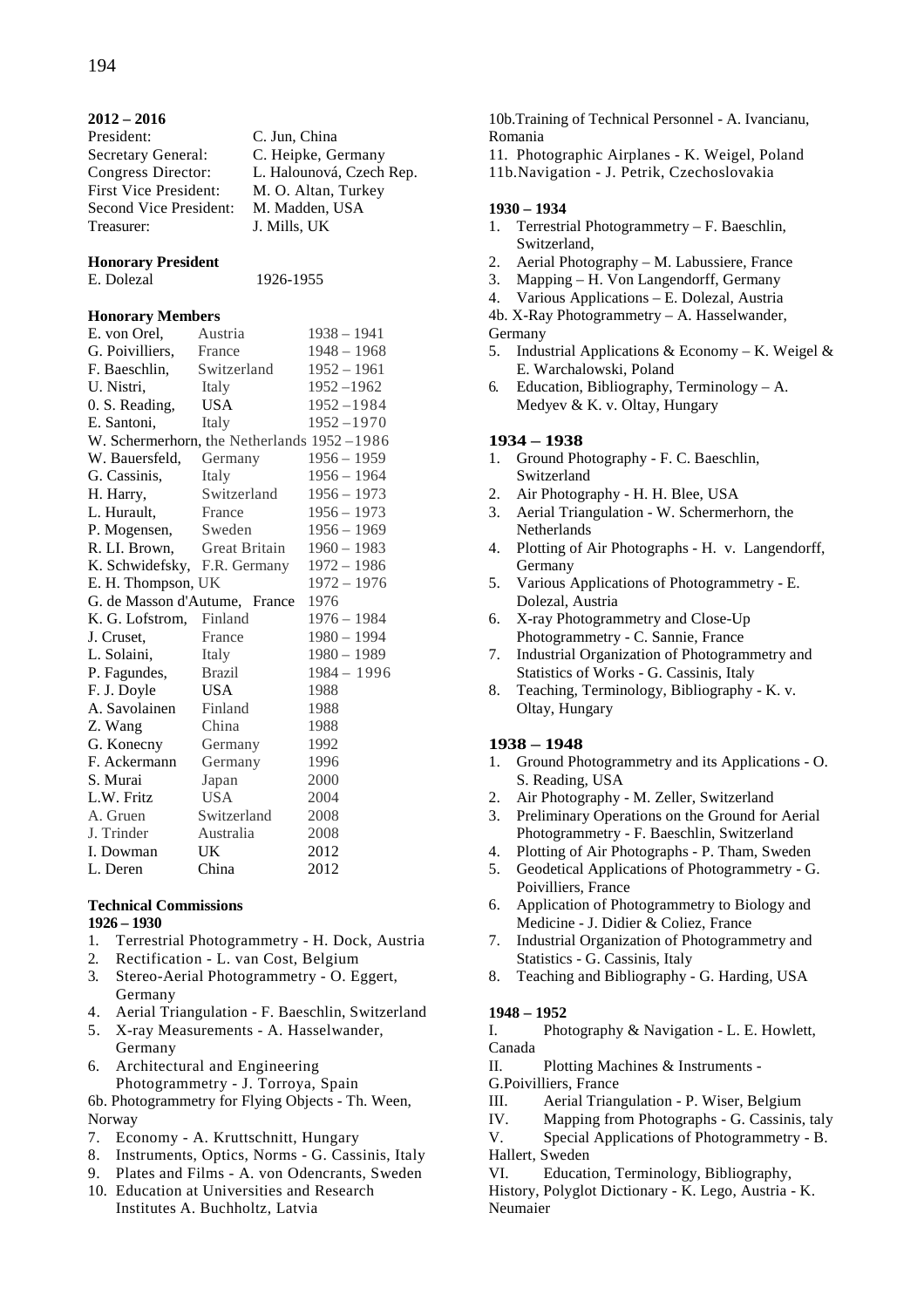### **2012 – 2016**

| President:                   | C. Jun, China            |
|------------------------------|--------------------------|
| Secretary General:           | C. Heipke, Germany       |
| Congress Director:           | L. Halounová, Czech Rep. |
| <b>First Vice President:</b> | M. O. Altan, Turkey      |
| Second Vice President:       | M. Madden, USA           |
| Treasurer:                   | J. Mills, UK             |
|                              |                          |

# **Honorary President**

E. Dolezal 1926-1955

# **Honorary Members**

| E. von Orel,                               | Austria       | $1938 - 1941$ |
|--------------------------------------------|---------------|---------------|
| G. Poivilliers,                            | France        | $1948 - 1968$ |
| F. Baeschlin,                              | Switzerland   | $1952 - 1961$ |
| U. Nistri,                                 | Italy         | $1952 - 1962$ |
| 0. S. Reading,                             | <b>USA</b>    | $1952 - 1984$ |
| E. Santoni,                                | Italy         | $1952 - 1970$ |
| W. Schermerhorn, the Netherlands 1952-1986 |               |               |
| W. Bauersfeld,                             | Germany       | $1956 - 1959$ |
| G. Cassinis,                               | Italy         | $1956 - 1964$ |
| H. Harry,                                  | Switzerland   | $1956 - 1973$ |
| L. Hurault,                                | France        | $1956 - 1973$ |
| P. Mogensen,                               | Sweden        | $1956 - 1969$ |
| R. LI. Brown,                              | Great Britain | $1960 - 1983$ |
| K. Schwidefsky,                            | F.R. Germany  | $1972 - 1986$ |
| E. H. Thompson, UK                         |               | $1972 - 1976$ |
| G. de Masson d'Autume, France              |               | 1976          |
| K. G. Lofstrom, Finland                    |               | $1976 - 1984$ |
| J. Cruset,                                 | France        | $1980 - 1994$ |
| L. Solaini,                                | Italy         | 1980 - 1989   |
| P. Fagundes,                               | <b>Brazil</b> | $1984 - 1996$ |
| F. J. Doyle                                | <b>USA</b>    | 1988          |
| A. Savolainen                              | Finland       | 1988          |
| Z. Wang                                    | China         | 1988          |
| G. Konecny                                 | Germany       | 1992          |
| F. Ackermann                               | Germany       | 1996          |
| S. Murai                                   | Japan         | 2000          |
| L.W. Fritz                                 | <b>USA</b>    | 2004          |
| A. Gruen                                   | Switzerland   | 2008          |
| J. Trinder                                 | Australia     | 2008          |
| I. Dowman                                  | UK            | 2012          |
| L. Deren                                   | China         | 2012          |

#### **Technical Commissions 1926 – 1930**

- 1. Terrestrial Photogrammetry H. Dock, Austria
- 2. Rectification L. van Cost, Belgium
- 3. Stereo-Aerial Photogrammetry O. Eggert, Germany
- 4. Aerial Triangulation F. Baeschlin, Switzerland
- 5. X-ray Measurements A. Hasselwander, Germany
- 6. Architectural and Engineering Photogrammetry - J. Torroya, Spain

6b. Photogrammetry for Flying Objects - Th. Ween, Norway

- 7. Economy A. Kruttschnitt, Hungary
- 8. Instruments, Optics, Norms G. Cassinis, Italy
- 9. Plates and Films A. von Odencrants, Sweden
- 10. Education at Universities and Research Institutes A. Buchholtz, Latvia

10b.Training of Technical Personnel - A. Ivancianu, Romania

- 11. Photographic Airplanes K. Weigel, Poland
- 11b.Navigation J. Petrik, Czechoslovakia

#### **1930 – 1934**

- 1. Terrestrial Photogrammetry F. Baeschlin, Switzerland,
- 2. Aerial Photography M. Labussiere, France
- 3. Mapping H. Von Langendorff, Germany
- 4. Various Applications E. Dolezal, Austria
- 4b. X-Ray Photogrammetry A. Hasselwander,
- Germany
- 5. Industrial Applications & Economy K. Weigel & E. Warchalowski, Poland
- 6. Education, Bibliography, Terminology A. Medyev & K. v. Oltay, Hungary

# **1934 – 1938**

- 1. Ground Photography F. C. Baeschlin, Switzerland
- 2. Air Photography H. H. Blee, USA
- 3. Aerial Triangulation W. Schermerhorn, the **Netherlands**
- 4. Plotting of Air Photographs H. v. Langendorff, Germany
- 5. Various Applications of Photogrammetry E. Dolezal, Austria
- 6. X-ray Photogrammetry and Close-Up Photogrammetry - C. Sannie, France
- 7. Industrial Organization of Photogrammetry and Statistics of Works - G. Cassinis, Italy
- 8. Teaching, Terminology, Bibliography K. v. Oltay, Hungary

#### **1938 – 1948**

- 1. Ground Photogrammetry and its Applications O. S. Reading, USA
- 2. Air Photography M. Zeller, Switzerland
- 3. Preliminary Operations on the Ground for Aerial Photogrammetry - F. Baeschlin, Switzerland
- 4. Plotting of Air Photographs P. Tham, Sweden
- 5. Geodetical Applications of Photogrammetry G. Poivilliers, France
- 6. Application of Photogrammetry to Biology and Medicine - J. Didier & Coliez, France
- 7. Industrial Organization of Photogrammetry and Statistics - G. Cassinis, Italy
- 8. Teaching and Bibliography G. Harding, USA

#### **1948 – 1952**

I. Photography & Navigation - L. E. Howlett, Canada

II. Plotting Machines & Instruments -

- G.Poivilliers, France
- III. Aerial Triangulation P. Wiser, Belgium
- IV. Mapping from Photographs G. Cassinis, taly
- V. Special Applications of Photogrammetry B.

Hallert, Sweden

VI. Education, Terminology, Bibliography,

History, Polyglot Dictionary - K. Lego, Austria - K. Neumaier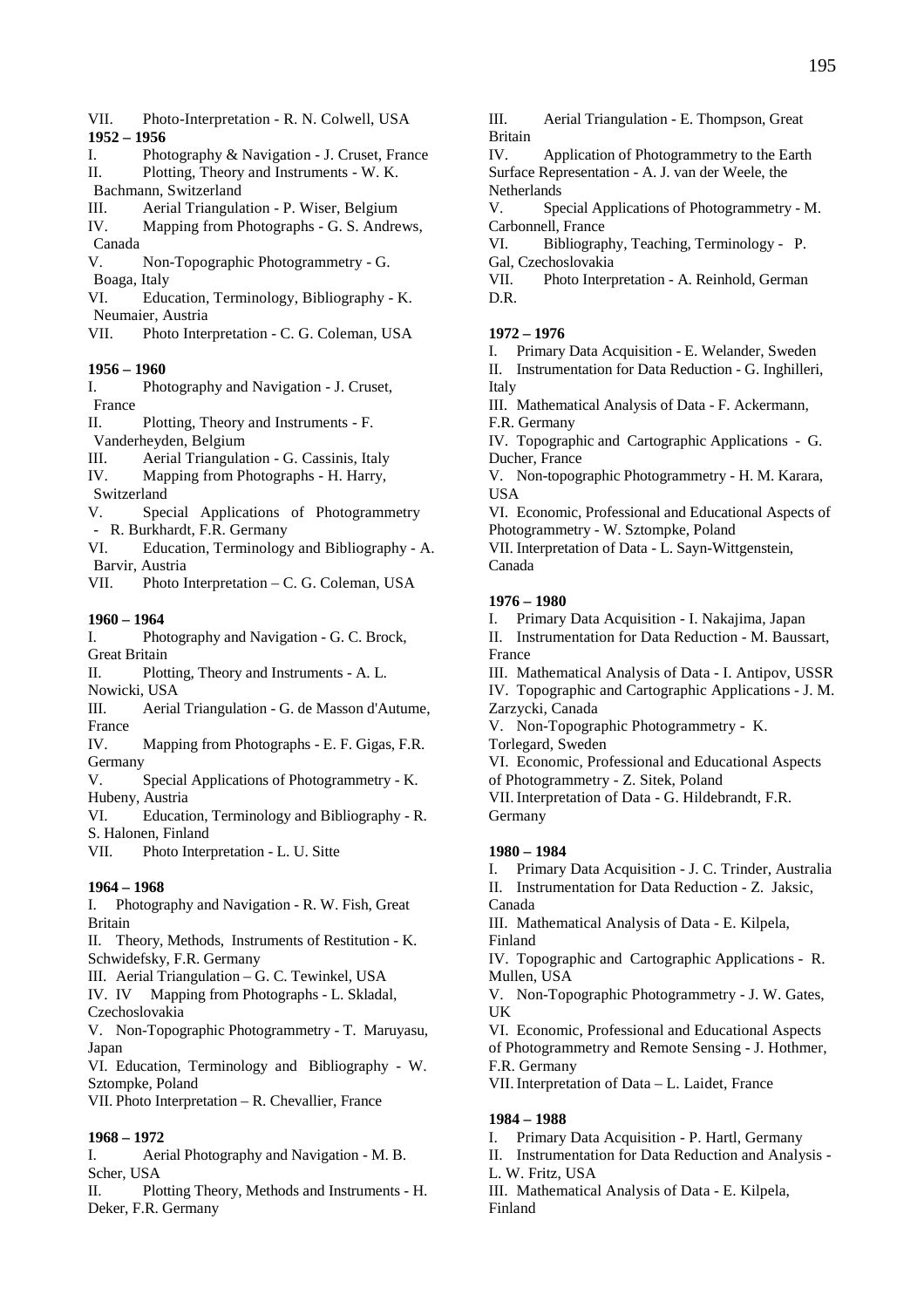- VII. Photo-Interpretation R. N. Colwell, USA **1952 – 1956**
- I. Photography & Navigation J. Cruset, France II. Plotting, Theory and Instruments - W. K.
- Bachmann, Switzerland
- III. Aerial Triangulation P. Wiser, Belgium

IV. Mapping from Photographs - G. S. Andrews, Canada

V. Non-Topographic Photogrammetry - G. Boaga, Italy

VI. Education, Terminology, Bibliography - K. Neumaier, Austria

VII. Photo Interpretation - C. G. Coleman, USA

#### **1956 – 1960**

- I. Photography and Navigation J. Cruset, France
- II. Plotting, Theory and Instruments F.
- Vanderheyden, Belgium
- III. Aerial Triangulation G. Cassinis, Italy
- IV. Mapping from Photographs H. Harry,
- Switzerland
- V. Special Applications of Photogrammetry - R. Burkhardt, F.R. Germany
- VI. Education, Terminology and Bibliography A. Barvir, Austria
- VII. Photo Interpretation C. G. Coleman, USA

# **1960 – 1964**

I. Photography and Navigation - G. C. Brock, Great Britain

II. Plotting, Theory and Instruments - A. L.

Nowicki, USA

III. Aerial Triangulation - G. de Masson d'Autume, France

IV. Mapping from Photographs - E. F. Gigas, F.R. Germany

- V. Special Applications of Photogrammetry K. Hubeny, Austria
- VI. Education, Terminology and Bibliography R. S. Halonen, Finland
- VII. Photo Interpretation L. U. Sitte

# **1964 – 1968**

I. Photography and Navigation - R. W. Fish, Great Britain

II. Theory, Methods, Instruments of Restitution - K. Schwidefsky, F.R. Germany

- III. Aerial Triangulation G. C. Tewinkel, USA
- IV. IV Mapping from Photographs L. Skladal, Czechoslovakia

V. Non-Topographic Photogrammetry - T. Maruyasu, Japan

VI. Education, Terminology and Bibliography - W. Sztompke, Poland

VII. Photo Interpretation – R. Chevallier, France

# **1968 – 1972**

I. Aerial Photography and Navigation - M. B. Scher, USA

II. Plotting Theory, Methods and Instruments - H. Deker, F.R. Germany

III. Aerial Triangulation - E. Thompson, Great Britain

IV. Application of Photogrammetry to the Earth Surface Representation - A. J. van der Weele, the Netherlands

V. Special Applications of Photogrammetry - M. Carbonnell, France

VI. Bibliography, Teaching, Terminology - P. Gal, Czechoslovakia

VII. Photo Interpretation - A. Reinhold, German D.R.

# **1972 – 1976**

I. Primary Data Acquisition - E. Welander, Sweden

II. Instrumentation for Data Reduction - G. Inghilleri, Italy

III. Mathematical Analysis of Data - F. Ackermann, F.R. Germany

IV. Topographic and Cartographic Applications - G. Ducher, France

V. Non-topographic Photogrammetry - H. M. Karara, USA

VI. Economic, Professional and Educational Aspects of Photogrammetry - W. Sztompke, Poland

VII. Interpretation of Data - L. Sayn-Wittgenstein, Canada

#### **1976 – 1980**

I. Primary Data Acquisition - I. Nakajima, Japan

II. Instrumentation for Data Reduction - M. Baussart, France

III. Mathematical Analysis of Data - I. Antipov, USSR

IV. Topographic and Cartographic Applications - J. M. Zarzycki, Canada

V. Non-Topographic Photogrammetry - K.

Torlegard, Sweden

VI. Economic, Professional and Educational Aspects of Photogrammetry - Z. Sitek, Poland

VII.Interpretation of Data - G. Hildebrandt, F.R. Germany

#### **1980 – 1984**

I. Primary Data Acquisition - J. C. Trinder, Australia

II. Instrumentation for Data Reduction - Z. Jaksic,

Canada

III. Mathematical Analysis of Data - E. Kilpela, Finland

IV. Topographic and Cartographic Applications - R. Mullen, USA

V. Non-Topographic Photogrammetry - J. W. Gates, UK

VI. Economic, Professional and Educational Aspects of Photogrammetry and Remote Sensing - J. Hothmer, F.R. Germany

VII. Interpretation of Data - L. Laidet, France

#### **1984 – 1988**

- I. Primary Data Acquisition P. Hartl, Germany
- II. Instrumentation for Data Reduction and Analysis -
- L. W. Fritz, USA

III. Mathematical Analysis of Data - E. Kilpela, Finland